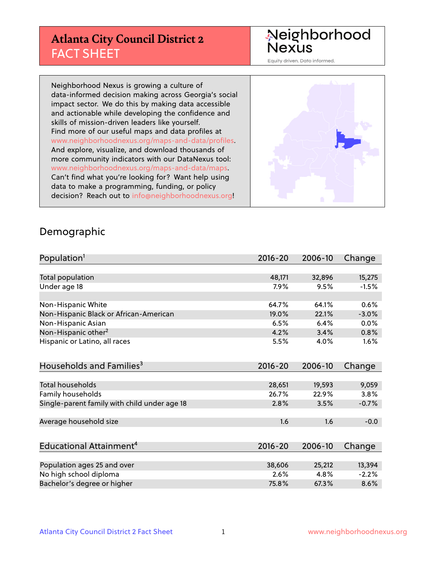# **Atlanta City Council District 2** FACT SHEET

# Neighborhood<br>Nexus

Equity driven. Data informed.

Neighborhood Nexus is growing a culture of data-informed decision making across Georgia's social impact sector. We do this by making data accessible and actionable while developing the confidence and skills of mission-driven leaders like yourself. Find more of our useful maps and data profiles at www.neighborhoodnexus.org/maps-and-data/profiles. And explore, visualize, and download thousands of more community indicators with our DataNexus tool: www.neighborhoodnexus.org/maps-and-data/maps. Can't find what you're looking for? Want help using data to make a programming, funding, or policy decision? Reach out to [info@neighborhoodnexus.org!](mailto:info@neighborhoodnexus.org)



#### Demographic

| Population <sup>1</sup>                      | $2016 - 20$ | 2006-10 | Change  |
|----------------------------------------------|-------------|---------|---------|
|                                              |             |         |         |
| Total population                             | 48,171      | 32,896  | 15,275  |
| Under age 18                                 | 7.9%        | 9.5%    | $-1.5%$ |
|                                              |             |         |         |
| Non-Hispanic White                           | 64.7%       | 64.1%   | 0.6%    |
| Non-Hispanic Black or African-American       | 19.0%       | 22.1%   | $-3.0%$ |
| Non-Hispanic Asian                           | 6.5%        | 6.4%    | $0.0\%$ |
| Non-Hispanic other <sup>2</sup>              | 4.2%        | 3.4%    | 0.8%    |
| Hispanic or Latino, all races                | 5.5%        | 4.0%    | 1.6%    |
|                                              |             |         |         |
| Households and Families <sup>3</sup>         | $2016 - 20$ | 2006-10 | Change  |
|                                              |             |         |         |
| <b>Total households</b>                      | 28,651      | 19,593  | 9,059   |
| Family households                            | 26.7%       | 22.9%   | 3.8%    |
| Single-parent family with child under age 18 | 2.8%        | 3.5%    | $-0.7%$ |
|                                              |             |         |         |
| Average household size                       | 1.6         | 1.6     | $-0.0$  |
|                                              |             |         |         |
| Educational Attainment <sup>4</sup>          | $2016 - 20$ | 2006-10 | Change  |
|                                              |             |         |         |
| Population ages 25 and over                  | 38,606      | 25,212  | 13,394  |
| No high school diploma                       | 2.6%        | 4.8%    | $-2.2%$ |
| Bachelor's degree or higher                  | 75.8%       | 67.3%   | 8.6%    |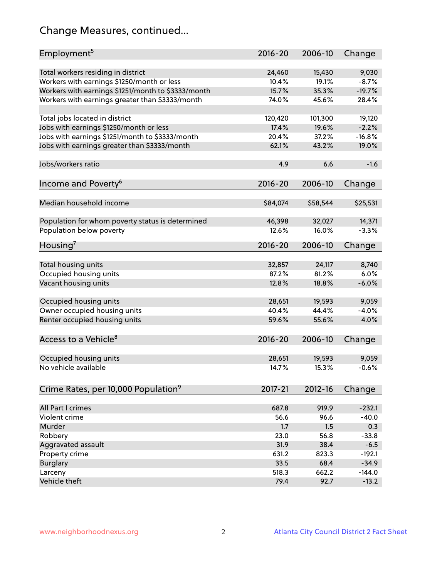# Change Measures, continued...

| Employment <sup>5</sup>                            | $2016 - 20$ | 2006-10  | Change   |
|----------------------------------------------------|-------------|----------|----------|
|                                                    |             |          |          |
| Total workers residing in district                 | 24,460      | 15,430   | 9,030    |
| Workers with earnings \$1250/month or less         | 10.4%       | 19.1%    | $-8.7%$  |
| Workers with earnings \$1251/month to \$3333/month | 15.7%       | 35.3%    | $-19.7%$ |
| Workers with earnings greater than \$3333/month    | 74.0%       | 45.6%    | 28.4%    |
| Total jobs located in district                     | 120,420     | 101,300  | 19,120   |
| Jobs with earnings \$1250/month or less            | 17.4%       | 19.6%    | $-2.2%$  |
| Jobs with earnings \$1251/month to \$3333/month    | 20.4%       | 37.2%    | $-16.8%$ |
| Jobs with earnings greater than \$3333/month       | 62.1%       | 43.2%    | 19.0%    |
|                                                    |             |          |          |
| Jobs/workers ratio                                 | 4.9         | 6.6      | $-1.6$   |
|                                                    |             |          |          |
| Income and Poverty <sup>6</sup>                    | 2016-20     | 2006-10  | Change   |
| Median household income                            | \$84,074    | \$58,544 | \$25,531 |
|                                                    |             |          |          |
| Population for whom poverty status is determined   | 46,398      | 32,027   | 14,371   |
| Population below poverty                           | 12.6%       | 16.0%    | $-3.3%$  |
|                                                    |             |          |          |
| Housing <sup>7</sup>                               | $2016 - 20$ | 2006-10  | Change   |
|                                                    |             |          |          |
| Total housing units                                | 32,857      | 24,117   | 8,740    |
| Occupied housing units                             | 87.2%       | 81.2%    | 6.0%     |
| Vacant housing units                               | 12.8%       | 18.8%    | $-6.0%$  |
| Occupied housing units                             | 28,651      | 19,593   | 9,059    |
| Owner occupied housing units                       | 40.4%       | 44.4%    | $-4.0%$  |
|                                                    | 59.6%       | 55.6%    | 4.0%     |
| Renter occupied housing units                      |             |          |          |
| Access to a Vehicle <sup>8</sup>                   | $2016 - 20$ | 2006-10  | Change   |
|                                                    |             |          |          |
| Occupied housing units                             | 28,651      | 19,593   | 9,059    |
| No vehicle available                               | 14.7%       | 15.3%    | $-0.6%$  |
|                                                    |             |          |          |
| Crime Rates, per 10,000 Population <sup>9</sup>    | 2017-21     | 2012-16  | Change   |
|                                                    |             |          |          |
| All Part I crimes                                  | 687.8       | 919.9    | $-232.1$ |
| Violent crime                                      | 56.6        | 96.6     | $-40.0$  |
| Murder                                             | 1.7         | 1.5      | 0.3      |
| Robbery                                            | 23.0        | 56.8     | $-33.8$  |
| Aggravated assault                                 | 31.9        | 38.4     | $-6.5$   |
| Property crime                                     | 631.2       | 823.3    | $-192.1$ |
| <b>Burglary</b>                                    | 33.5        | 68.4     | $-34.9$  |
| Larceny                                            | 518.3       | 662.2    | $-144.0$ |
| Vehicle theft                                      | 79.4        | 92.7     | $-13.2$  |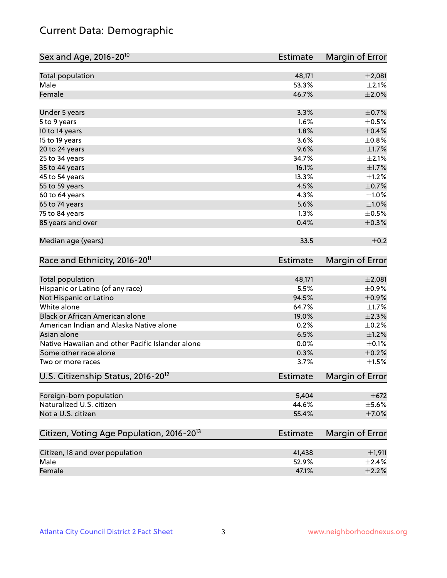# Current Data: Demographic

| Sex and Age, 2016-20 <sup>10</sup>                    | <b>Estimate</b> | Margin of Error |
|-------------------------------------------------------|-----------------|-----------------|
| Total population                                      | 48,171          | ±2,081          |
| Male                                                  | 53.3%           | $\pm 2.1\%$     |
| Female                                                | 46.7%           | $\pm 2.0\%$     |
| Under 5 years                                         | 3.3%            | $\pm$ 0.7%      |
| 5 to 9 years                                          | 1.6%            | $\pm$ 0.5%      |
| 10 to 14 years                                        | 1.8%            | $\pm$ 0.4%      |
| 15 to 19 years                                        | 3.6%            | $\pm$ 0.8%      |
| 20 to 24 years                                        | 9.6%            | $\pm1.7\%$      |
| 25 to 34 years                                        | 34.7%           | $\pm 2.1\%$     |
| 35 to 44 years                                        | 16.1%           | $\pm1.7\%$      |
| 45 to 54 years                                        | 13.3%           | $\pm$ 1.2%      |
| 55 to 59 years                                        | 4.5%            | $\pm$ 0.7%      |
| 60 to 64 years                                        | 4.3%            | $\pm 1.0\%$     |
| 65 to 74 years                                        | 5.6%            | $\pm1.0\%$      |
| 75 to 84 years                                        | 1.3%            | $\pm$ 0.5%      |
| 85 years and over                                     | 0.4%            | $\pm$ 0.3%      |
| Median age (years)                                    | 33.5            | $\pm$ 0.2       |
| Race and Ethnicity, 2016-20 <sup>11</sup>             | <b>Estimate</b> | Margin of Error |
| Total population                                      | 48,171          | ±2,081          |
| Hispanic or Latino (of any race)                      | 5.5%            | $\pm$ 0.9%      |
| Not Hispanic or Latino                                | 94.5%           | $\pm$ 0.9%      |
| White alone                                           | 64.7%           | $\pm1.7\%$      |
| Black or African American alone                       | 19.0%           | $\pm 2.3\%$     |
| American Indian and Alaska Native alone               | 0.2%            | $\pm$ 0.2%      |
| Asian alone                                           | 6.5%            | $\pm 1.2\%$     |
| Native Hawaiian and other Pacific Islander alone      | 0.0%            | $\pm$ 0.1%      |
| Some other race alone                                 | 0.3%            | $\pm$ 0.2%      |
| Two or more races                                     | 3.7%            | $\pm1.5\%$      |
| U.S. Citizenship Status, 2016-20 <sup>12</sup>        | <b>Estimate</b> | Margin of Error |
| Foreign-born population                               | 5,404           | $\pm 672$       |
| Naturalized U.S. citizen                              | 44.6%           | $\pm$ 5.6%      |
| Not a U.S. citizen                                    | 55.4%           | $\pm$ 7.0%      |
| Citizen, Voting Age Population, 2016-20 <sup>13</sup> | <b>Estimate</b> | Margin of Error |
| Citizen, 18 and over population                       | 41,438          | ±1,911          |
| Male                                                  | 52.9%           | $\pm 2.4\%$     |
| Female                                                | 47.1%           | $\pm 2.2\%$     |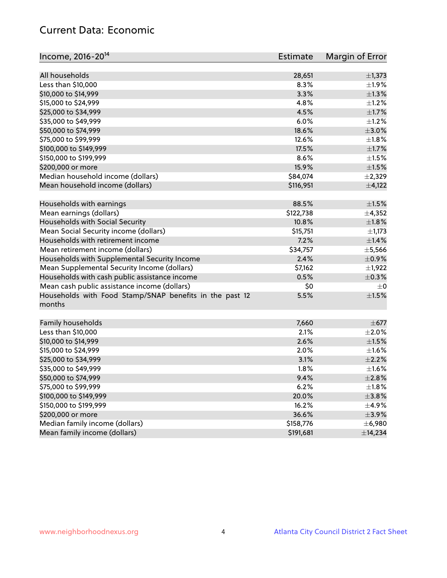# Current Data: Economic

| Income, 2016-20 <sup>14</sup>                                     | Estimate  | Margin of Error |
|-------------------------------------------------------------------|-----------|-----------------|
|                                                                   |           |                 |
| All households                                                    | 28,651    | $\pm$ 1,373     |
| Less than \$10,000                                                | 8.3%      | ±1.9%           |
| \$10,000 to \$14,999                                              | 3.3%      | $\pm 1.3\%$     |
| \$15,000 to \$24,999                                              | 4.8%      | $\pm 1.2\%$     |
| \$25,000 to \$34,999                                              | 4.5%      | $\pm 1.7\%$     |
| \$35,000 to \$49,999                                              | 6.0%      | $\pm 1.2\%$     |
| \$50,000 to \$74,999                                              | 18.6%     | $\pm 3.0\%$     |
| \$75,000 to \$99,999                                              | 12.6%     | $\pm 1.8\%$     |
| \$100,000 to \$149,999                                            | 17.5%     | $\pm$ 1.7%      |
| \$150,000 to \$199,999                                            | 8.6%      | $\pm 1.5\%$     |
| \$200,000 or more                                                 | 15.9%     | $\pm 1.5\%$     |
| Median household income (dollars)                                 | \$84,074  | $\pm$ 2,329     |
| Mean household income (dollars)                                   | \$116,951 | ±4,122          |
| Households with earnings                                          | 88.5%     | $\pm 1.5\%$     |
| Mean earnings (dollars)                                           | \$122,738 | ±4,352          |
| Households with Social Security                                   | 10.8%     | $\pm1.8\%$      |
| Mean Social Security income (dollars)                             | \$15,751  | $\pm$ 1,173     |
| Households with retirement income                                 | 7.2%      | ±1.4%           |
| Mean retirement income (dollars)                                  | \$34,757  | $\pm$ 5,566     |
| Households with Supplemental Security Income                      | 2.4%      | $\pm$ 0.9%      |
| Mean Supplemental Security Income (dollars)                       | \$7,162   | $\pm$ 1,922     |
| Households with cash public assistance income                     | 0.5%      | $\pm$ 0.3%      |
| Mean cash public assistance income (dollars)                      | \$0       | $\pm$ 0         |
|                                                                   |           |                 |
| Households with Food Stamp/SNAP benefits in the past 12<br>months | 5.5%      | $\pm1.5\%$      |
| Family households                                                 | 7,660     | $\pm$ 677       |
| Less than \$10,000                                                | 2.1%      | $\pm 2.0\%$     |
| \$10,000 to \$14,999                                              | 2.6%      | $\pm 1.5\%$     |
| \$15,000 to \$24,999                                              | 2.0%      | $\pm 1.6\%$     |
| \$25,000 to \$34,999                                              | 3.1%      | $\pm 2.2\%$     |
| \$35,000 to \$49,999                                              | 1.8%      | $\pm1.6\%$      |
| \$50,000 to \$74,999                                              | 9.4%      | ±2.8%           |
| \$75,000 to \$99,999                                              | 6.2%      | $\pm 1.8\%$     |
| \$100,000 to \$149,999                                            | 20.0%     |                 |
| \$150,000 to \$199,999                                            |           | ±3.8%           |
|                                                                   | 16.2%     | $\pm$ 4.9%      |
| \$200,000 or more<br>Median family income (dollars)               | 36.6%     | $\pm$ 3.9%      |
|                                                                   | \$158,776 | $±$ 6,980       |
| Mean family income (dollars)                                      | \$191,681 | ±14,234         |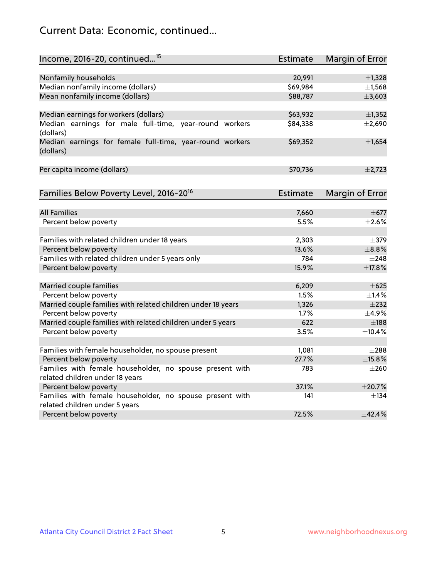# Current Data: Economic, continued...

| Income, 2016-20, continued <sup>15</sup>                              | <b>Estimate</b>    | Margin of Error        |
|-----------------------------------------------------------------------|--------------------|------------------------|
|                                                                       |                    |                        |
| Nonfamily households<br>Median nonfamily income (dollars)             | 20,991<br>\$69,984 | ±1,328<br>±1,568       |
| Mean nonfamily income (dollars)                                       | \$88,787           | ±3,603                 |
|                                                                       |                    |                        |
| Median earnings for workers (dollars)                                 | \$63,932           | ±1,352                 |
| Median earnings for male full-time, year-round workers<br>(dollars)   | \$84,338           | ±2,690                 |
| Median earnings for female full-time, year-round workers<br>(dollars) | \$69,352           | ±1,654                 |
| Per capita income (dollars)                                           | \$70,736           | $\pm 2,723$            |
| Families Below Poverty Level, 2016-20 <sup>16</sup>                   | <b>Estimate</b>    | <b>Margin of Error</b> |
|                                                                       |                    |                        |
| <b>All Families</b>                                                   | 7,660              | $\pm$ 677              |
| Percent below poverty                                                 | 5.5%               | $\pm 2.6\%$            |
| Families with related children under 18 years                         | 2,303              | $\pm$ 379              |
| Percent below poverty                                                 | 13.6%              | $\pm$ 8.8%             |
| Families with related children under 5 years only                     | 784                | $+248$                 |
| Percent below poverty                                                 | 15.9%              | ±17.8%                 |
| Married couple families                                               | 6,209              | $\pm$ 625              |
| Percent below poverty                                                 | 1.5%               | ±1.4%                  |
| Married couple families with related children under 18 years          | 1,326              | $\pm 232$              |
| Percent below poverty                                                 | 1.7%               | $\pm$ 4.9%             |
| Married couple families with related children under 5 years           | 622                | $\pm$ 188              |
| Percent below poverty                                                 | 3.5%               | ±10.4%                 |
| Families with female householder, no spouse present                   | 1,081              | $\pm 288$              |
| Percent below poverty                                                 | 27.7%              | ±15.8%                 |
| Families with female householder, no spouse present with              | 783                | $\pm 260$              |
| related children under 18 years                                       |                    |                        |
| Percent below poverty                                                 | 37.1%              | ±20.7%                 |
| Families with female householder, no spouse present with              | 141                | $\pm$ 134              |
| related children under 5 years                                        |                    |                        |
| Percent below poverty                                                 | 72.5%              | ±42.4%                 |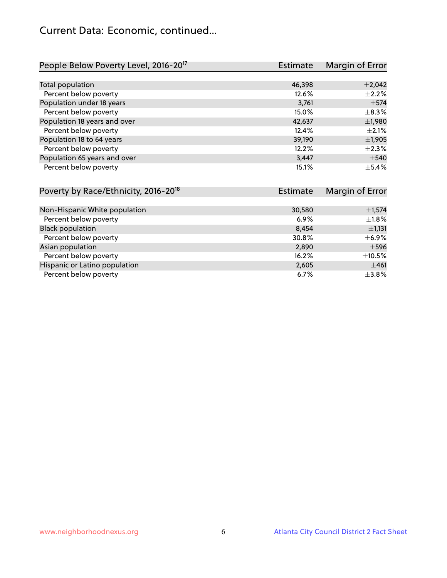# Current Data: Economic, continued...

| People Below Poverty Level, 2016-20 <sup>17</sup> | <b>Estimate</b> | Margin of Error |
|---------------------------------------------------|-----------------|-----------------|
|                                                   |                 |                 |
| Total population                                  | 46,398          | $\pm 2,042$     |
| Percent below poverty                             | 12.6%           | $\pm 2.2\%$     |
| Population under 18 years                         | 3,761           | $\pm$ 574       |
| Percent below poverty                             | 15.0%           | $\pm$ 8.3%      |
| Population 18 years and over                      | 42,637          | $\pm$ 1,980     |
| Percent below poverty                             | 12.4%           | $\pm 2.1\%$     |
| Population 18 to 64 years                         | 39,190          | $\pm$ 1,905     |
| Percent below poverty                             | 12.2%           | $\pm 2.3\%$     |
| Population 65 years and over                      | 3,447           | $\pm$ 540       |
| Percent below poverty                             | 15.1%           | $\pm$ 5.4%      |

| Poverty by Race/Ethnicity, 2016-20 <sup>18</sup> | Estimate | Margin of Error |
|--------------------------------------------------|----------|-----------------|
|                                                  |          |                 |
| Non-Hispanic White population                    | 30,580   | ±1,574          |
| Percent below poverty                            | 6.9%     | ±1.8%           |
| <b>Black population</b>                          | 8.454    | $\pm$ 1,131     |
| Percent below poverty                            | 30.8%    | $\pm$ 6.9%      |
| Asian population                                 | 2,890    | $\pm$ 596       |
| Percent below poverty                            | 16.2%    | $\pm$ 10.5%     |
| Hispanic or Latino population                    | 2,605    | ±461            |
| Percent below poverty                            | 6.7%     | $\pm$ 3.8%      |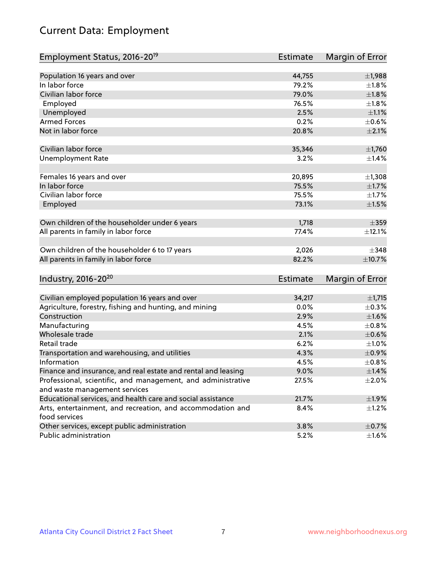# Current Data: Employment

| Employment Status, 2016-20 <sup>19</sup>                      | <b>Estimate</b> | Margin of Error |
|---------------------------------------------------------------|-----------------|-----------------|
|                                                               |                 |                 |
| Population 16 years and over                                  | 44,755          | ±1,988          |
| In labor force                                                | 79.2%           | $\pm1.8\%$      |
| Civilian labor force                                          | 79.0%           | $\pm1.8\%$      |
| Employed                                                      | 76.5%           | $\pm1.8\%$      |
| Unemployed                                                    | 2.5%            | $\pm 1.1\%$     |
| <b>Armed Forces</b>                                           | 0.2%            | $\pm$ 0.6%      |
| Not in labor force                                            | 20.8%           | $\pm 2.1\%$     |
| Civilian labor force                                          | 35,346          | $\pm$ 1,760     |
| <b>Unemployment Rate</b>                                      | 3.2%            | ±1.4%           |
|                                                               |                 |                 |
| Females 16 years and over                                     | 20,895          | $\pm$ 1,308     |
| In labor force                                                | 75.5%           | $\pm1.7\%$      |
| Civilian labor force                                          | 75.5%           | $\pm 1.7\%$     |
| Employed                                                      | 73.1%           | $\pm 1.5\%$     |
| Own children of the householder under 6 years                 | 1,718           | $\pm$ 359       |
| All parents in family in labor force                          | 77.4%           | $\pm$ 12.1%     |
|                                                               |                 |                 |
| Own children of the householder 6 to 17 years                 | 2,026           | $\pm$ 348       |
| All parents in family in labor force                          | 82.2%           | ±10.7%          |
| Industry, 2016-20 <sup>20</sup>                               | <b>Estimate</b> | Margin of Error |
|                                                               |                 |                 |
| Civilian employed population 16 years and over                | 34,217          | $\pm$ 1,715     |
| Agriculture, forestry, fishing and hunting, and mining        | 0.0%            | $\pm$ 0.3%      |
| Construction                                                  | 2.9%            | $\pm1.6\%$      |
| Manufacturing                                                 | 4.5%            | $\pm$ 0.8%      |
| Wholesale trade                                               | 2.1%            | $\pm$ 0.6%      |
| Retail trade                                                  | 6.2%            | $\pm 1.0\%$     |
| Transportation and warehousing, and utilities                 | 4.3%            | $\pm$ 0.9%      |
| Information                                                   | 4.5%            | $\pm$ 0.8%      |
| Finance and insurance, and real estate and rental and leasing | 9.0%            | $\pm$ 1.4%      |
| Professional, scientific, and management, and administrative  | 27.5%           | $\pm 2.0\%$     |
| and waste management services                                 |                 |                 |
| Educational services, and health care and social assistance   | 21.7%           | ±1.9%           |
| Arts, entertainment, and recreation, and accommodation and    | 8.4%            | $\pm$ 1.2%      |
| food services                                                 |                 |                 |
| Other services, except public administration                  | 3.8%            | $\pm$ 0.7%      |
| Public administration                                         | 5.2%            | $\pm 1.6\%$     |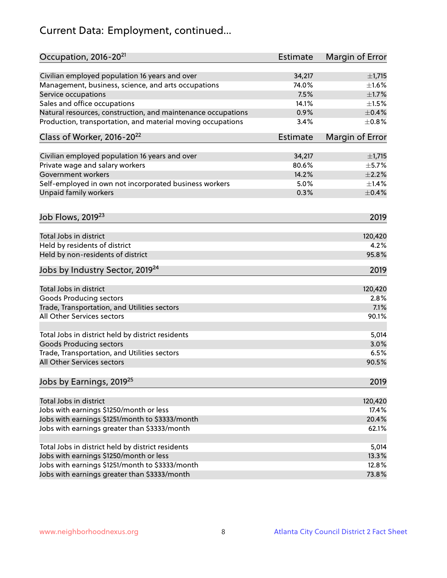# Current Data: Employment, continued...

| Occupation, 2016-20 <sup>21</sup>                            | Estimate        | Margin of Error |
|--------------------------------------------------------------|-----------------|-----------------|
| Civilian employed population 16 years and over               | 34,217          | $\pm$ 1,715     |
| Management, business, science, and arts occupations          | 74.0%           | $\pm1.6\%$      |
| Service occupations                                          | 7.5%            | $\pm1.7\%$      |
| Sales and office occupations                                 | 14.1%           | $\pm 1.5\%$     |
| Natural resources, construction, and maintenance occupations | 0.9%            | $\pm$ 0.4%      |
| Production, transportation, and material moving occupations  | 3.4%            | ±0.8%           |
| Class of Worker, 2016-20 <sup>22</sup>                       | <b>Estimate</b> | Margin of Error |
| Civilian employed population 16 years and over               | 34,217          | $\pm$ 1,715     |
| Private wage and salary workers                              | 80.6%           | $\pm$ 5.7%      |
| Government workers                                           | 14.2%           | $\pm 2.2\%$     |
| Self-employed in own not incorporated business workers       | 5.0%            | $\pm$ 1.4%      |
| Unpaid family workers                                        | 0.3%            | $\pm$ 0.4%      |
| Job Flows, 2019 <sup>23</sup>                                |                 | 2019            |
| Total Jobs in district                                       |                 | 120,420         |
| Held by residents of district                                |                 | 4.2%            |
| Held by non-residents of district                            |                 | 95.8%           |
| Jobs by Industry Sector, 2019 <sup>24</sup>                  |                 | 2019            |
|                                                              |                 |                 |
| Total Jobs in district                                       |                 | 120,420         |
| Goods Producing sectors                                      |                 | 2.8%            |
| Trade, Transportation, and Utilities sectors                 |                 | 7.1%            |
| All Other Services sectors                                   |                 | 90.1%           |
| Total Jobs in district held by district residents            |                 | 5,014           |
| <b>Goods Producing sectors</b>                               |                 | 3.0%            |
| Trade, Transportation, and Utilities sectors                 |                 | 6.5%            |
| All Other Services sectors                                   |                 | 90.5%           |
| Jobs by Earnings, 2019 <sup>25</sup>                         |                 | 2019            |
| Total Jobs in district                                       |                 | 120,420         |
| Jobs with earnings \$1250/month or less                      |                 | 17.4%           |
| Jobs with earnings \$1251/month to \$3333/month              |                 | 20.4%           |
| Jobs with earnings greater than \$3333/month                 |                 | 62.1%           |
|                                                              |                 |                 |
| Total Jobs in district held by district residents            |                 | 5,014           |
| Jobs with earnings \$1250/month or less                      |                 | 13.3%           |
| Jobs with earnings \$1251/month to \$3333/month              |                 | 12.8%           |
| Jobs with earnings greater than \$3333/month                 |                 | 73.8%           |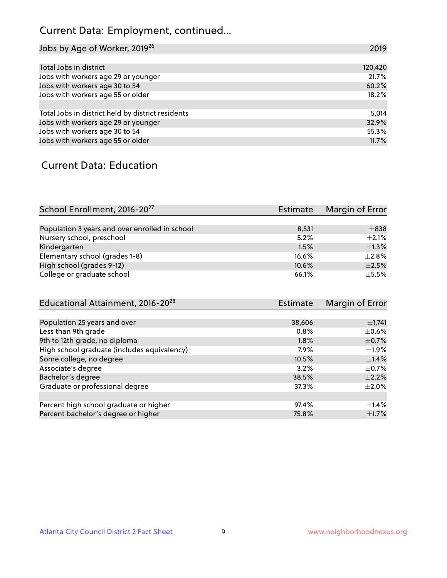# Current Data: Employment, continued...

| Jobs by Age of Worker, 2019 <sup>26</sup>         | 2019    |
|---------------------------------------------------|---------|
|                                                   |         |
| Total Jobs in district                            | 120,420 |
| Jobs with workers age 29 or younger               | 21.7%   |
| Jobs with workers age 30 to 54                    | 60.2%   |
| Jobs with workers age 55 or older                 | 18.2%   |
|                                                   |         |
| Total Jobs in district held by district residents | 5,014   |
| Jobs with workers age 29 or younger               | 32.9%   |
| Jobs with workers age 30 to 54                    | 55.3%   |
| Jobs with workers age 55 or older                 | 11.7%   |

### Current Data: Education

| School Enrollment, 2016-20 <sup>27</sup>       | Estimate | Margin of Error |
|------------------------------------------------|----------|-----------------|
|                                                |          |                 |
| Population 3 years and over enrolled in school | 8,531    | $\pm$ 838       |
| Nursery school, preschool                      | 5.2%     | $+2.1%$         |
| Kindergarten                                   | 1.5%     | $\pm$ 1.3%      |
| Elementary school (grades 1-8)                 | 16.6%    | $\pm 2.8\%$     |
| High school (grades 9-12)                      | 10.6%    | $\pm 2.5\%$     |
| College or graduate school                     | 66.1%    | $+5.5%$         |

| Educational Attainment, 2016-20 <sup>28</sup> | <b>Estimate</b> | Margin of Error |
|-----------------------------------------------|-----------------|-----------------|
|                                               |                 |                 |
| Population 25 years and over                  | 38,606          | $\pm$ 1,741     |
| Less than 9th grade                           | 0.8%            | $\pm$ 0.6%      |
| 9th to 12th grade, no diploma                 | 1.8%            | $\pm$ 0.7%      |
| High school graduate (includes equivalency)   | 7.9%            | $\pm$ 1.9%      |
| Some college, no degree                       | 10.5%           | $\pm$ 1.4%      |
| Associate's degree                            | 3.2%            | $\pm$ 0.7%      |
| Bachelor's degree                             | 38.5%           | $\pm 2.2\%$     |
| Graduate or professional degree               | 37.3%           | $\pm 2.0\%$     |
|                                               |                 |                 |
| Percent high school graduate or higher        | 97.4%           | $\pm$ 1.4%      |
| Percent bachelor's degree or higher           | 75.8%           | $\pm$ 1.7%      |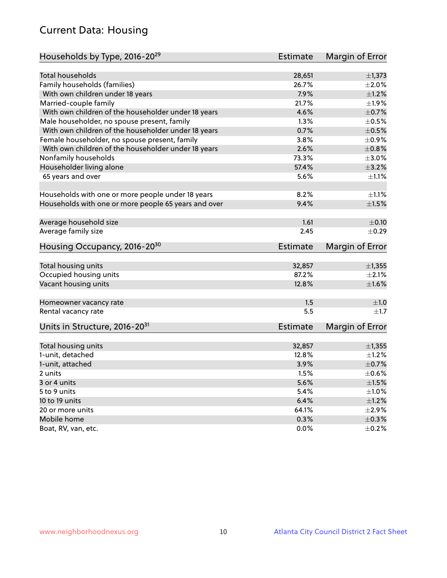# Current Data: Housing

| Households by Type, 2016-20 <sup>29</sup>            | <b>Estimate</b> | Margin of Error |
|------------------------------------------------------|-----------------|-----------------|
|                                                      |                 |                 |
| <b>Total households</b>                              | 28,651          | $\pm$ 1,373     |
| Family households (families)                         | 26.7%           | $\pm 2.0\%$     |
| With own children under 18 years                     | 7.9%            | $\pm 1.2\%$     |
| Married-couple family                                | 21.7%           | $\pm 1.9\%$     |
| With own children of the householder under 18 years  | 4.6%            | $\pm$ 0.7%      |
| Male householder, no spouse present, family          | 1.3%            | $\pm$ 0.5%      |
| With own children of the householder under 18 years  | 0.7%            | $\pm$ 0.5%      |
| Female householder, no spouse present, family        | 3.8%            | $\pm$ 0.9%      |
| With own children of the householder under 18 years  | 2.6%            | $\pm 0.8\%$     |
| Nonfamily households                                 | 73.3%           | $\pm 3.0\%$     |
| Householder living alone                             | 57.4%           | $\pm$ 3.2%      |
| 65 years and over                                    | 5.6%            | $\pm 1.1\%$     |
|                                                      |                 |                 |
| Households with one or more people under 18 years    | 8.2%            | $\pm 1.1\%$     |
| Households with one or more people 65 years and over | 9.4%            | $\pm1.5\%$      |
|                                                      |                 |                 |
| Average household size                               | 1.61            | $\pm$ 0.10      |
| Average family size                                  | 2.45            | $\pm$ 0.29      |
| Housing Occupancy, 2016-20 <sup>30</sup>             | <b>Estimate</b> | Margin of Error |
|                                                      |                 |                 |
| Total housing units                                  | 32,857<br>87.2% | ±1,355          |
| Occupied housing units                               |                 | $\pm 2.1\%$     |
| Vacant housing units                                 | 12.8%           | $\pm1.6\%$      |
| Homeowner vacancy rate                               | 1.5             | ±1.0            |
| Rental vacancy rate                                  | 5.5             | $\pm 1.7$       |
| Units in Structure, 2016-20 <sup>31</sup>            | <b>Estimate</b> | Margin of Error |
|                                                      |                 |                 |
| Total housing units                                  | 32,857          | ±1,355          |
| 1-unit, detached                                     | 12.8%           | $\pm$ 1.2%      |
| 1-unit, attached                                     | 3.9%            | $\pm$ 0.7%      |
| 2 units                                              | 1.5%            | $\pm$ 0.6%      |
| 3 or 4 units                                         | 5.6%            | $\pm 1.5\%$     |
| 5 to 9 units                                         | 5.4%            | $\pm 1.0\%$     |
| 10 to 19 units                                       | 6.4%            | $\pm 1.2\%$     |
| 20 or more units                                     | 64.1%           | $\pm 2.9\%$     |
| Mobile home                                          | 0.3%            | $\pm$ 0.3%      |
| Boat, RV, van, etc.                                  | 0.0%            | $\pm$ 0.2%      |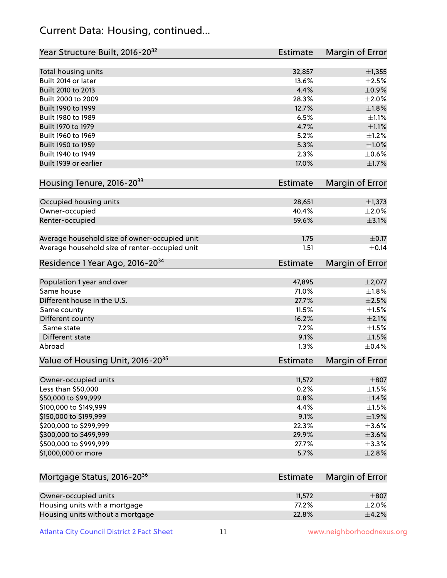### Current Data: Housing, continued...

| Year Structure Built, 2016-20 <sup>32</sup>    | <b>Estimate</b> | Margin of Error           |
|------------------------------------------------|-----------------|---------------------------|
| Total housing units                            | 32,857          | ±1,355                    |
| Built 2014 or later                            | 13.6%           | $\pm 2.5\%$               |
| Built 2010 to 2013                             | 4.4%            | $\pm$ 0.9%                |
| Built 2000 to 2009                             | 28.3%           | $\pm 2.0\%$               |
| Built 1990 to 1999                             | 12.7%           | $\pm1.8\%$                |
| Built 1980 to 1989                             | 6.5%            | ±1.1%                     |
| Built 1970 to 1979                             | 4.7%            | $\pm 1.1\%$               |
| Built 1960 to 1969                             | 5.2%            | $\pm 1.2\%$               |
| Built 1950 to 1959                             | 5.3%            | $\pm 1.0\%$               |
| Built 1940 to 1949                             | 2.3%            | $\pm$ 0.6%                |
| Built 1939 or earlier                          | 17.0%           | $\pm1.7\%$                |
|                                                |                 |                           |
| Housing Tenure, 2016-2033                      | Estimate        | Margin of Error           |
| Occupied housing units                         | 28,651          | ±1,373                    |
| Owner-occupied                                 | 40.4%           | $\pm 2.0\%$               |
| Renter-occupied                                | 59.6%           | $\pm$ 3.1%                |
|                                                |                 |                           |
| Average household size of owner-occupied unit  | 1.75            | $\pm$ 0.17                |
| Average household size of renter-occupied unit | 1.51            | $\pm$ 0.14                |
| Residence 1 Year Ago, 2016-20 <sup>34</sup>    | <b>Estimate</b> | Margin of Error           |
|                                                |                 |                           |
| Population 1 year and over<br>Same house       | 47,895<br>71.0% | $\pm 2,077$<br>±1.8%      |
| Different house in the U.S.                    | 27.7%           | $\pm 2.5\%$               |
|                                                | 11.5%           | $\pm1.5\%$                |
| Same county                                    | 16.2%           | $\pm 2.1\%$               |
| Different county<br>Same state                 | 7.2%            | $\pm1.5\%$                |
|                                                |                 |                           |
| Different state<br>Abroad                      | 9.1%<br>1.3%    | $\pm 1.5\%$<br>$\pm$ 0.4% |
|                                                |                 |                           |
| Value of Housing Unit, 2016-20 <sup>35</sup>   | <b>Estimate</b> | Margin of Error           |
| Owner-occupied units                           | 11,572          | $\pm$ 807                 |
| Less than \$50,000                             | 0.2%            | $\pm 1.5\%$               |
| \$50,000 to \$99,999                           | 0.8%            | ±1.4%                     |
| \$100,000 to \$149,999                         | 4.4%            | $\pm 1.5\%$               |
| \$150,000 to \$199,999                         | 9.1%            | ±1.9%                     |
| \$200,000 to \$299,999                         | 22.3%           | $\pm$ 3.6%                |
| \$300,000 to \$499,999                         | 29.9%           | $\pm$ 3.6%                |
| \$500,000 to \$999,999                         | 27.7%           | $\pm$ 3.3%                |
| \$1,000,000 or more                            | 5.7%            | $\pm 2.8\%$               |
|                                                |                 |                           |
| Mortgage Status, 2016-20 <sup>36</sup>         | <b>Estimate</b> | Margin of Error           |
|                                                |                 |                           |
| Owner-occupied units                           | 11,572          | $\pm$ 807                 |
| Housing units with a mortgage                  | 77.2%           | $\pm 2.0\%$               |
| Housing units without a mortgage               | 22.8%           | $\pm$ 4.2%                |

Atlanta City Council District 2 Fact Sheet 11 1 www.neighborhoodnexus.org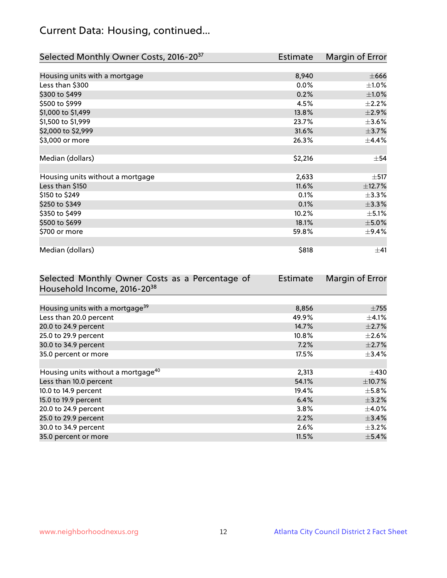# Current Data: Housing, continued...

| Selected Monthly Owner Costs, 2016-20 <sup>37</sup> | Estimate | Margin of Error |
|-----------------------------------------------------|----------|-----------------|
|                                                     |          |                 |
| Housing units with a mortgage                       | 8,940    | $\pm 666$       |
| Less than \$300                                     | 0.0%     | $\pm 1.0\%$     |
| \$300 to \$499                                      | 0.2%     | $\pm1.0\%$      |
| \$500 to \$999                                      | 4.5%     | $\pm 2.2\%$     |
| \$1,000 to \$1,499                                  | 13.8%    | $\pm 2.9\%$     |
| \$1,500 to \$1,999                                  | 23.7%    | $\pm 3.6\%$     |
| \$2,000 to \$2,999                                  | 31.6%    | $\pm$ 3.7%      |
| \$3,000 or more                                     | 26.3%    | $\pm$ 4.4%      |
|                                                     |          |                 |
| Median (dollars)                                    | \$2,216  | $\pm$ 54        |
|                                                     |          |                 |
| Housing units without a mortgage                    | 2,633    | $\pm$ 517       |
| Less than \$150                                     | 11.6%    | ±12.7%          |
| \$150 to \$249                                      | 0.1%     | $\pm$ 3.3%      |
| \$250 to \$349                                      | 0.1%     | ±3.3%           |
| \$350 to \$499                                      | 10.2%    | $\pm$ 5.1%      |
| \$500 to \$699                                      | 18.1%    | $\pm$ 5.0%      |
| \$700 or more                                       | 59.8%    | $\pm$ 9.4%      |
|                                                     |          |                 |
| Median (dollars)                                    | \$818    | $\pm$ 41        |

| Selected Monthly Owner Costs as a Percentage of | <b>Estimate</b> | Margin of Error |
|-------------------------------------------------|-----------------|-----------------|
| Household Income, 2016-20 <sup>38</sup>         |                 |                 |
|                                                 |                 |                 |
| Housing units with a mortgage <sup>39</sup>     | 8,856           | $\pm 755$       |
| Less than 20.0 percent                          | 49.9%           | $\pm$ 4.1%      |
| 20.0 to 24.9 percent                            | 14.7%           | $\pm 2.7\%$     |
| 25.0 to 29.9 percent                            | $10.8\%$        | $\pm 2.6\%$     |
| 30.0 to 34.9 percent                            | 7.2%            | $\pm 2.7\%$     |
| 35.0 percent or more                            | 17.5%           | $\pm$ 3.4%      |
|                                                 |                 |                 |
| Housing units without a mortgage <sup>40</sup>  | 2,313           | $\pm$ 430       |
| Less than 10.0 percent                          | 54.1%           | $\pm$ 10.7%     |
| 10.0 to 14.9 percent                            | 19.4%           | $\pm$ 5.8%      |
| 15.0 to 19.9 percent                            | 6.4%            | $\pm$ 3.2%      |
| 20.0 to 24.9 percent                            | $3.8\%$         | $\pm$ 4.0%      |
| 25.0 to 29.9 percent                            | 2.2%            | ±3.4%           |
| 30.0 to 34.9 percent                            | 2.6%            | $\pm$ 3.2%      |
| 35.0 percent or more                            | 11.5%           | $\pm$ 5.4%      |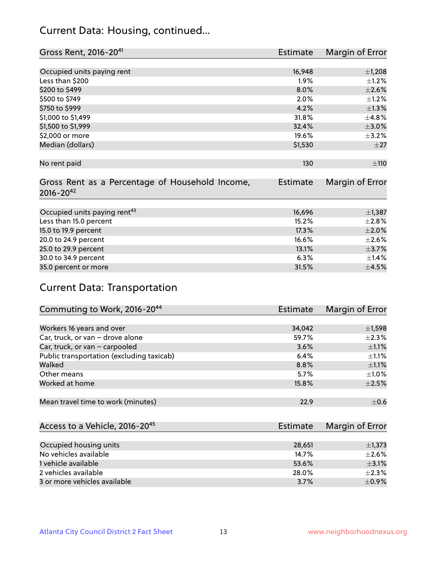### Current Data: Housing, continued...

| Gross Rent, 2016-20 <sup>41</sup>                                   | <b>Estimate</b> | Margin of Error |
|---------------------------------------------------------------------|-----------------|-----------------|
|                                                                     |                 |                 |
| Occupied units paying rent                                          | 16,948          | $\pm$ 1,208     |
| Less than \$200                                                     | 1.9%            | $\pm$ 1.2%      |
| \$200 to \$499                                                      | 8.0%            | $\pm 2.6\%$     |
| \$500 to \$749                                                      | 2.0%            | $\pm$ 1.2%      |
| \$750 to \$999                                                      | 4.2%            | $\pm 1.3\%$     |
| \$1,000 to \$1,499                                                  | 31.8%           | $\pm$ 4.8%      |
| \$1,500 to \$1,999                                                  | 32.4%           | $\pm 3.0\%$     |
| \$2,000 or more                                                     | 19.6%           | $\pm$ 3.2%      |
| Median (dollars)                                                    | \$1,530         | $\pm 27$        |
| No rent paid                                                        | 130             | ±110            |
| Gross Rent as a Percentage of Household Income,<br>$2016 - 20^{42}$ | <b>Estimate</b> | Margin of Error |
| Occupied units paying rent <sup>43</sup>                            | 16,696          | $\pm$ 1,387     |
| Less than 15.0 percent                                              | 15.2%           | $\pm 2.8\%$     |
| 15.0 to 19.9 percent                                                | 17.3%           | $\pm 2.0\%$     |
| 20.0 to 24.9 percent                                                | 16.6%           | $\pm 2.6\%$     |
| 25.0 to 29.9 percent                                                | 13.1%           | $\pm$ 3.7%      |
| 30.0 to 34.9 percent                                                | 6.3%            | $\pm$ 1.4%      |
| 35.0 percent or more                                                | 31.5%           | $\pm$ 4.5%      |

# Current Data: Transportation

| Commuting to Work, 2016-20 <sup>44</sup>  | <b>Estimate</b> | Margin of Error |
|-------------------------------------------|-----------------|-----------------|
|                                           |                 |                 |
| Workers 16 years and over                 | 34,042          | $\pm$ 1,598     |
| Car, truck, or van - drove alone          | 59.7%           | $\pm 2.3\%$     |
| Car, truck, or van - carpooled            | 3.6%            | $\pm 1.1\%$     |
| Public transportation (excluding taxicab) | 6.4%            | $\pm 1.1\%$     |
| Walked                                    | 8.8%            | $\pm 1.1\%$     |
| Other means                               | 5.7%            | $\pm 1.0\%$     |
| Worked at home                            | 15.8%           | $\pm 2.5\%$     |
|                                           |                 |                 |
| Mean travel time to work (minutes)        | 22.9            | $\pm$ 0.6       |

| Access to a Vehicle, 2016-20 <sup>45</sup> | Estimate | Margin of Error |
|--------------------------------------------|----------|-----------------|
|                                            |          |                 |
| Occupied housing units                     | 28,651   | $\pm$ 1,373     |
| No vehicles available                      | 14.7%    | $\pm 2.6\%$     |
| 1 vehicle available                        | 53.6%    | $\pm$ 3.1%      |
| 2 vehicles available                       | 28.0%    | $+2.3%$         |
| 3 or more vehicles available               | 3.7%     | $+0.9%$         |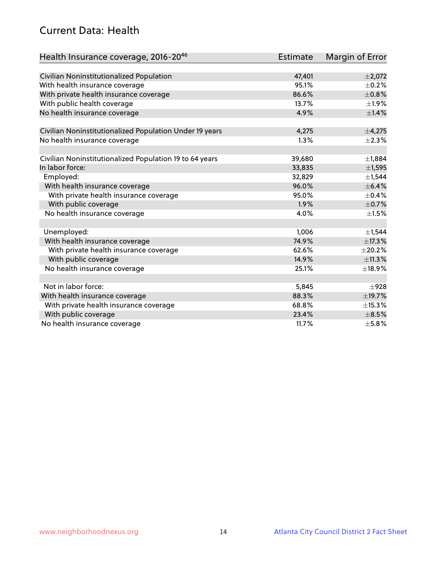### Current Data: Health

| Health Insurance coverage, 2016-2046                    | Estimate | Margin of Error |
|---------------------------------------------------------|----------|-----------------|
|                                                         |          |                 |
| Civilian Noninstitutionalized Population                | 47,401   | $\pm 2,072$     |
| With health insurance coverage                          | 95.1%    | $\pm$ 0.2%      |
| With private health insurance coverage                  | 86.6%    | ±0.8%           |
| With public health coverage                             | 13.7%    | $\pm$ 1.9%      |
| No health insurance coverage                            | 4.9%     | $\pm 1.4\%$     |
|                                                         |          |                 |
| Civilian Noninstitutionalized Population Under 19 years | 4,275    | ±4,275          |
| No health insurance coverage                            | 1.3%     | $\pm 2.3\%$     |
| Civilian Noninstitutionalized Population 19 to 64 years | 39,680   | ±1,884          |
| In labor force:                                         | 33,835   | ±1,595          |
| Employed:                                               | 32,829   | $\pm$ 1,544     |
| With health insurance coverage                          | 96.0%    | $\pm$ 6.4%      |
| With private health insurance coverage                  | 95.0%    | $\pm$ 0.4%      |
| With public coverage                                    | 1.9%     | $\pm$ 0.7%      |
| No health insurance coverage                            | 4.0%     | $\pm 1.5\%$     |
|                                                         |          |                 |
| Unemployed:                                             | 1,006    | $\pm$ 1,544     |
| With health insurance coverage                          | 74.9%    | ±17.3%          |
| With private health insurance coverage                  | 62.6%    | $\pm 20.2\%$    |
| With public coverage                                    | 14.9%    | ±11.3%          |
| No health insurance coverage                            | 25.1%    | ±18.9%          |
|                                                         |          |                 |
| Not in labor force:                                     | 5,845    | $\pm$ 928       |
| With health insurance coverage                          | 88.3%    | ±19.7%          |
| With private health insurance coverage                  | 68.8%    | ±15.3%          |
| With public coverage                                    | 23.4%    | $\pm$ 8.5%      |
| No health insurance coverage                            | 11.7%    | $\pm$ 5.8%      |